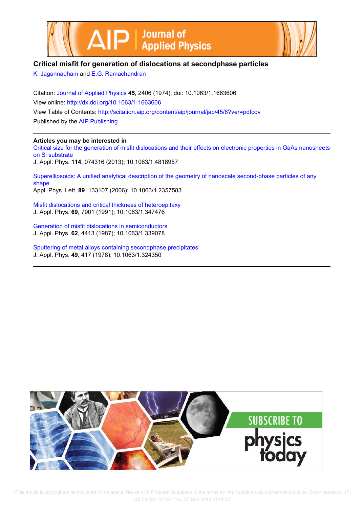



## **Critical misfit for generation of dislocations at secondphase particles**

K. Jagannadham and E.G. Ramachandran

Citation: Journal of Applied Physics **45**, 2406 (1974); doi: 10.1063/1.1663606 View online: http://dx.doi.org/10.1063/1.1663606 View Table of Contents: http://scitation.aip.org/content/aip/journal/jap/45/6?ver=pdfcov Published by the AIP Publishing

### **Articles you may be interested in**

Critical size for the generation of misfit dislocations and their effects on electronic properties in GaAs nanosheets on Si substrate J. Appl. Phys. **114**, 074316 (2013); 10.1063/1.4818957

Superellipsoids: A unified analytical description of the geometry of nanoscale second-phase particles of any shape Appl. Phys. Lett. **89**, 133107 (2006); 10.1063/1.2357583

Misfit dislocations and critical thickness of heteroepitaxy J. Appl. Phys. **69**, 7901 (1991); 10.1063/1.347476

Generation of misfit dislocations in semiconductors J. Appl. Phys. **62**, 4413 (1987); 10.1063/1.339078

Sputtering of metal alloys containing secondphase precipitates J. Appl. Phys. **49**, 417 (1978); 10.1063/1.324350

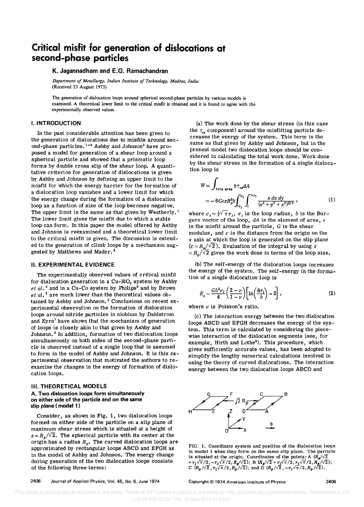# **Critical misfit for generation of dislocations at second-phase particles**

#### **K. Jagannadham and E.G. Ramachandran**

*Department of Metallurgy, Indian Institute of Technology, Madras, India*  (Received 23 August 1973)

The generation of dislocation loops around spherical second-phase particles by various models is examined. A theoretical lower limit to the critical misfit is obtained and it is found to agree with the experimentally observed values.

#### **I. INTRODUCTION**

In the past considerable attention has been given to the generation of dislocations due to misfits around second-phase particles.  $1-4$  Ashby and Johnson<sup>2</sup> have proposed a model for generation of a shear loop around a spherical particle and showed that a prismatic loop forms by double cross slip of the shear loop. A quantitative criterion for generation of dislocations is given by Ashby and Johnson by defining an upper limit to the misfit for which the energy barrier for the formation of a dislocation loop vanishes and a lower limit for which the energy change during the formation of a dislocation loop as a function of size of the loop becomes negative. The upper limit is the same as that given by Weatherly.<sup>1</sup> The lower limit gives the misfit due to which a stable loop can form. In this paper the model offered by Ashby and Johnson is reexamined and a theoretical lower limit to the critical misfit is given. The discussion is extended to the generation of climb loops by a mechanism suggested by Matthews and Mader. <sup>4</sup>

#### **II. EXPERIMENTAL EVIDENCE**

The experimentally observed values of critical misfit for dislocation generation in a Cu-SiO<sub>2</sub> system by Ashby et  $al.$ <sup>5</sup> and in a Cu-Co system by Philips<sup>6</sup> and by Brown  $et al.$ <sup>3</sup> are much lower than the theoretical values obtained by Ashby and Johnson.<sup>2</sup> Conclusions on recent experimental observation on the formation of dislocation loops around nitride particles in niobium by Dahlstrom and Eyre7 have shown that the mechanism of generation of loops is closely akin to that given by Ashby and Johnson.<sup>2</sup> In addition, formation of two dislocation loops simultaneously on both sides of the second-phase particle is observed instead of a single loop that is assumed to form in the model of Ashby and Johnson. It is this experimental observation that motivated the authors to reexamine the changes in the energy of formation of dislocation loops.

#### **III. THEORETICAL MODELS**

#### **A. Two dislocation loops form simultaneously on either side of the particle and on the same slip plane (model 1)**

Consider, as shown in Fig. 1, two dislocation loops formed on either side of the particle on a slip plane of maximum shear stress which is situated at a height of  $z = R_{\alpha}/\sqrt{2}$ . The spherical particle with its center at the origin has a radius  $R_{\rho}$ . The curved dislocation loops are approximated by rectangular loops ABCD and EFGH as in the model of Ashby and Johnson. The energy change during generation of the two dislocation loops consists of the following three terms:

(a) The work done by the shear stress (in this case the  $\tau_{\alpha}$  component) around the misfitting particle decreases the energy of the system. This term is the same as that given by Ashby and Johnson, but in the present model two dislocation loops should be considered in calculating the total work done. Work done by the shear stress in the formation of a single dislocation loop is

$$
W = \int_{\text{loop area}} b \tau_{xd} dA
$$
  
=  $-6G\varepsilon z R_p^3 b \int_{c_1}^{c_1} \int_c^{c_2} \frac{x dx dy}{(x^2 + y^2 + z^2)^{5/2}}$ , (1)

where  $c_1 = \frac{1}{2}\sqrt{\pi}r_i$ ,  $r_i$  is the loop radius, *b* is the Burgers vector of the loop,  $dA$  is the element of area,  $\epsilon$ is the misfit around the particle, G is the shear modulus, and  $c$  is the distance from the origin on the *<sup>X</sup>*axis at which the loop is generated on the slip plane  $(c=R_p/\sqrt{2})$ . Evaluation of the integral by using *z*  $= R_{\circ} / \sqrt{2}$  gives the work done in terms of the loop size.

(b) The self-energy of the dislocation loops increases the energy of the system. The self-energy in the formation of a single dislocation loop is

$$
E_s = \frac{Gb^2 r_I}{4} \left( \frac{2 - \nu}{1 - \nu} \right) \left[ \ln \left( \frac{8r_I}{b} \right) - 2 \right],
$$
 (2)

where  $\nu$  is Poisson's ratio.

(c) The interaction energy between the two dislocation loops ABCD and EFGH decreases the energy of the system. This term is calculated by considering the piecewise interaction of the dislocation segments (see, for example, Hirth and Lothe<sup>8</sup>). This procedure, which gives sufficiently accurate values, has been adopted to simplify the lengthy numerical calculations involved in using the theory of curved dislocations. The interaction energy between the two dislocation loops ABCD and



FIG. 1. Coordinate system and position of the dislocation loops in model 1 when they form on the same slip plane. The particle is situated at the origin. Coordinates of the points: A  $(R_p/\sqrt{2} + r_p/\sqrt{\pi}/2, P_p/\sqrt{\pi}/2, R_p/\sqrt{2})$ ; B  $(R_p/\sqrt{2} + r_p/\sqrt{\pi}/2, r_p/\sqrt{\pi}/2, R_p/\sqrt{2})$ ;  $C(R_p/\sqrt{2}, r_1\sqrt{\pi}/2, R_p/\sqrt{2})$ ; and D  $(R_p/\sqrt{2}, -r_1\sqrt{\pi}/2, R_p/\sqrt{2})$ .

2406 Journal of Applied Physics, Vol. 45, No.6, June 1974

Copyright © 1974 American Institute of Physics 2406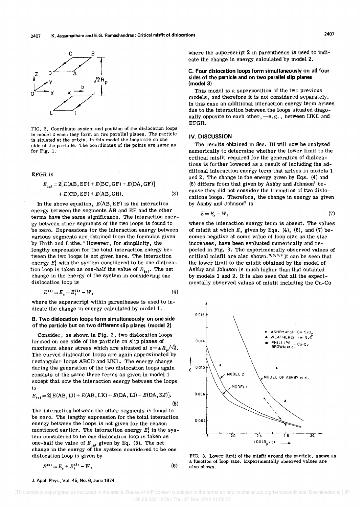

FIG. 2. Coordinate system and position of the dislocation loops in model 2 when they form on two parallel planes. The particle is situated at the origin. In this model the loops are on one side of the particle. The coordinates of the points are same as for Fig. 1.

EFGH is

$$
E_{\text{int}} = 2[E(AB, EF) + E(BC, GF) + E(DA, GF)] + E(CD, EF) + E(AB, GH).
$$
 (3)

In the above equation,  $E(AB, EF)$  is the interaction energy between the segments AB and EF and the other terms have the same significance. The interaction energy between other segments of the two loops is found to be zero. Expressions for the interaction energy between various segments are obtained from the formulas given by Hirth and Lothe.<sup>8</sup> However, for simplicity, the lengthy expression for the total interaction energy between the two loops is not given here. The interaction energy  $E_i^1$  with the system considered to be one dislocation loop is taken as one-half the value of  $E_{int}$ . The net change in the energy of the system in considering one dislocation loop is

$$
E^{(1)} = E_s + E_i^{(1)} - W, \tag{4}
$$

where the superscript within parentheses is used to indicate the change in energy calculated by model 1.

#### B. Two dislocation loops form simultaneously on one side of the particle but on. two different slip planes (model 2)

Consider, as shown in Fig. 2, two dislocation loops formed on one side of the particle on slip planes of maximum shear stress which are situated at  $z = \pm R_s/\sqrt{2}$ . The curved dislocation loops are again approximated by rectangular loops ABCD and IJKL. The energy change during the generation of the two dislocation loops again consists of the same three terms as given in model 1 except that now the interaction energy between the loops is

$$
E_{\text{int}} = 2[E(AB, IJ) + E(AB, LK) + E(DA, LI) + E(DA, KJ)].
$$
\n(5)

The interaction between the other segments is found to be zero. The lengthy expression for the total interaction energy between the loops is not given for the reason mentioned earlier. The interaction energy  $E_i^2$  in the system considered to be one dislocation loop is taken as one-half the value of  $E_{int}$  given by Eq. (5). The net change in the energy of the system considered to be one dislocation loop is given by

$$
E^{(2)} = E_s + E_i^{(2)} - W,
$$
 (6)

where the superscript 2 in parentheses is used to indicate the change in energy calculated by model 2.

C. Four dislocation loops form simultaneously on all four sides of the particle and on two parallel slip planes (model 3)

This model is a superposition of the two previous models, and therefore it is not considered separately. In this case an additional interaction energy term arises due to the interaction between the loops situated diagonally opposite to each other, -e.g., between IJKL and EFGH.

#### IV. DISCUSSION

The results obtained in Sec. III will noW be analyzed numerically to determine whether the lower limit to the critical misfit required for the generation of dislocations is further lowered as a result of including the additional interaction energy term that arises in models 1 and 2. The change in the energy given by Eqs. (4) and (6) differs from that given by Ashby and Johnson<sup>2</sup> because they did not consider the formation of two dislocations loops. Therefore, the change in energy as given by Ashby and Johnson<sup>2</sup> is

$$
E = E_s - W, \tag{7}
$$

where the interaction energy term is absent. The values of misfit at which  $E$ , given by Eqs. (4), (6), and (7) becomes negative at some value of loop size as the size increases, have been evaluated numerically and reported in Fig. 3. The experimentally observed values of critical misfit are also shown. 3,5,6,9 It can be seen that the lower limit to the misfit obtained by the model of Ashby and Johnson is much higher than that obtained by models 1 and 2. It is also seen that all the experimentally observed values of misfit including the Cu-Co



FIG. 3. Lower limit of the misfit around the particle, shown as a function of loop size. Experimentally observed values are also shown.

J. Appl. Phys., Vol. 45, No.6, June 1974